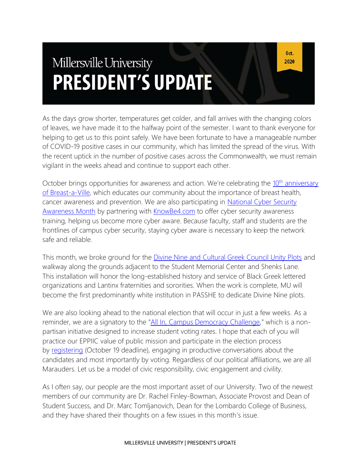# Millersville University **PRESIDENT'S UPDATE**

As the days grow shorter, temperatures get colder, and fall arrives with the changing colors of leaves, we have made it to the halfway point of the semester. I want to thank everyone for helping to get us to this point safely. We have been fortunate to have a manageable number of COVID-19 positive cases in our community, which has limited the spread of the virus. With the recent uptick in the number of positive cases across the Commonwealth, we must remain vigilant in the weeks ahead and continue to support each other.

October brings opportunities for awareness and action. We're celebrating the 10<sup>th</sup> anniversary [of Breast-a-Ville,](https://www.millersville.edu/nursing/breast-cancer-awareness-program/breast-a-ville.php) which educates our community about the importance of breast health, cancer awareness and prevention. We are also participating in [National Cyber Security](https://blogs.millersville.edu/ncsam/)  [Awareness Month](https://blogs.millersville.edu/ncsam/) by partnering with [KnowBe4.com](http://www.knowbe4.com/) to offer cyber security awareness training, helping us become more cyber aware. Because faculty, staff and students are the frontlines of campus cyber security, staying cyber aware is necessary to keep the network safe and reliable.

This month, we broke ground for the Divine Nine and [Cultural Greek Council Unity Plots](https://blogs.millersville.edu/news/2020/10/05/cultural-plots-promote-inclusion/) and walkway along the grounds adjacent to the Student Memorial Center and Shenks Lane. This installation will honor the long-established history and service of Black Greek lettered organizations and Lantinx fraternities and sororities. When the work is complete, MU will become the first predominantly white institution in PASSHE to dedicate Divine Nine plots.

We are also looking ahead to the national election that will occur in just a few weeks. As a reminder, we are a signatory to the "[All In, Campus Democracy Challenge](https://blogs.millersville.edu/news/2020/08/04/millersville-university-goes-all-in-this-election-year/)," which is a nonpartisan initiative designed to increase student voting rates. I hope that each of you will practice our EPPIIC value of public mission and participate in the election process by [registering](https://www.pavoterservices.pa.gov/pages/VoterRegistrationApplication.aspx) (October 19 deadline), engaging in productive conversations about the candidates and most importantly by voting. Regardless of our political affiliations, we are all Marauders. Let us be a model of civic responsibility, civic engagement and civility.

As I often say, our people are the most important asset of our University. Two of the newest members of our community are Dr. Rachel Finley-Bowman, Associate Provost and Dean of Student Success, and Dr. Marc Tomljanovich, Dean for the Lombardo College of Business, and they have shared their thoughts on a few issues in this month's issue.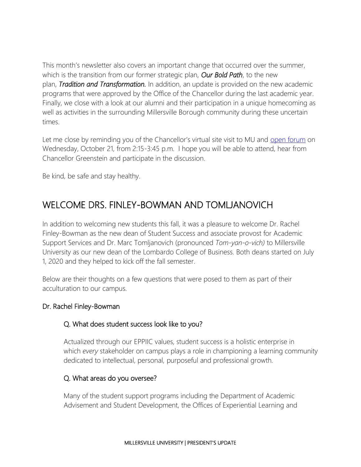This month's newsletter also covers an important change that occurred over the summer, which is the transition from our former strategic plan, *Our Bold Path*, to the new plan, *Tradition and Transformation.* In addition, an update is provided on the new academic programs that were approved by the Office of the Chancellor during the last academic year. Finally, we close with a look at our alumni and their participation in a unique homecoming as well as activities in the surrounding Millersville Borough community during these uncertain times.

Let me close by reminding you of the Chancellor's virtual site visit to MU and [open forum](https://www.millersville.edu/president/open-forum.php) on Wednesday, October 21, from 2:15-3:45 p.m. I hope you will be able to attend, hear from Chancellor Greenstein and participate in the discussion.

Be kind, be safe and stay healthy.

# WELCOME DRS. FINLEY-BOWMAN AND TOMLJANOVICH

In addition to welcoming new students this fall, it was a pleasure to welcome Dr. Rachel Finley-Bowman as the new dean of Student Success and associate provost for Academic Support Services and Dr. Marc Tomljanovich (pronounced *Tom-yan-o-vich)* to Millersville University as our new dean of the Lombardo College of Business. Both deans started on July 1, 2020 and they helped to kick off the fall semester.

Below are their thoughts on a few questions that were posed to them as part of their acculturation to our campus.

#### Dr. Rachel Finley-Bowman

#### Q. What does student success look like to you?

Actualized through our EPPIIC values, student success is a holistic enterprise in which *every* stakeholder on campus plays a role in championing a learning community dedicated to intellectual, personal, purposeful and professional growth.

#### Q. What areas do you oversee?

Many of the student support programs including the Department of Academic Advisement and Student Development, the Offices of Experiential Learning and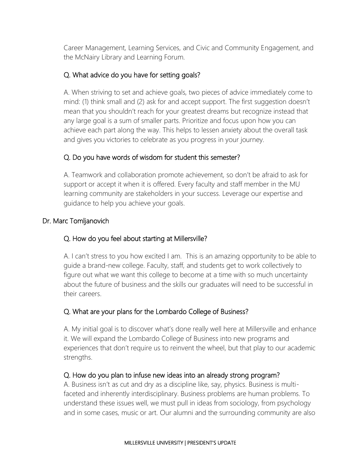Career Management, Learning Services, and Civic and Community Engagement, and the McNairy Library and Learning Forum.

#### Q. What advice do you have for setting goals?

A. When striving to set and achieve goals, two pieces of advice immediately come to mind: (1) think small and (2) ask for and accept support. The first suggestion doesn't mean that you shouldn't reach for your greatest dreams but recognize instead that any large goal is a sum of smaller parts. Prioritize and focus upon how you can achieve each part along the way. This helps to lessen anxiety about the overall task and gives you victories to celebrate as you progress in your journey.

#### Q. Do you have words of wisdom for student this semester?

A. Teamwork and collaboration promote achievement, so don't be afraid to ask for support or accept it when it is offered. Every faculty and staff member in the MU learning community are stakeholders in your success. Leverage our expertise and guidance to help you achieve your goals.

#### Dr. Marc Tomljanovich

#### Q. How do you feel about starting at Millersville?

A. I can't stress to you how excited I am. This is an amazing opportunity to be able to guide a brand-new college. Faculty, staff, and students get to work collectively to figure out what we want this college to become at a time with so much uncertainty about the future of business and the skills our graduates will need to be successful in their careers.

#### Q. What are your plans for the Lombardo College of Business?

A. My initial goal is to discover what's done really well here at Millersville and enhance it. We will expand the Lombardo College of Business into new programs and experiences that don't require us to reinvent the wheel, but that play to our academic strengths.

#### Q. How do you plan to infuse new ideas into an already strong program?

A. Business isn't as cut and dry as a discipline like, say, physics. Business is multifaceted and inherently interdisciplinary. Business problems are human problems. To understand these issues well, we must pull in ideas from sociology, from psychology and in some cases, music or art. Our alumni and the surrounding community are also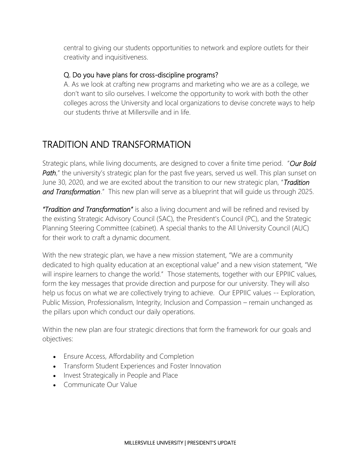central to giving our students opportunities to network and explore outlets for their creativity and inquisitiveness.

#### Q. Do you have plans for cross-discipline programs?

A. As we look at crafting new programs and marketing who we are as a college, we don't want to silo ourselves. I welcome the opportunity to work with both the other colleges across the University and local organizations to devise concrete ways to help our students thrive at Millersville and in life.

# TRADITION AND TRANSFORMATION

Strategic plans, while living documents, are designed to cover a finite time period. "*Our Bold Path*," the university's strategic plan for the past five years, served us well. This plan sunset on June 30, 2020, and we are excited about the transition to our new strategic plan, "*Tradition and Transformation*." This new plan will serve as a blueprint that will guide us through 2025.

*"Tradition and Transformation"* is also a living document and will be refined and revised by the existing Strategic Advisory Council (SAC), the President's Council (PC), and the Strategic Planning Steering Committee (cabinet). A special thanks to the All University Council (AUC) for their work to craft a dynamic document.

With the new strategic plan, we have a new mission statement, "We are a community dedicated to high quality education at an exceptional value" and a new vision statement, "We will inspire learners to change the world." Those statements, together with our EPPIIC values, form the key messages that provide direction and purpose for our university. They will also help us focus on what we are collectively trying to achieve. Our EPPIIC values -- Exploration, Public Mission, Professionalism, Integrity, Inclusion and Compassion – remain unchanged as the pillars upon which conduct our daily operations.

Within the new plan are four strategic directions that form the framework for our goals and objectives:

- Ensure Access, Affordability and Completion
- Transform Student Experiences and Foster Innovation
- Invest Strategically in People and Place
- Communicate Our Value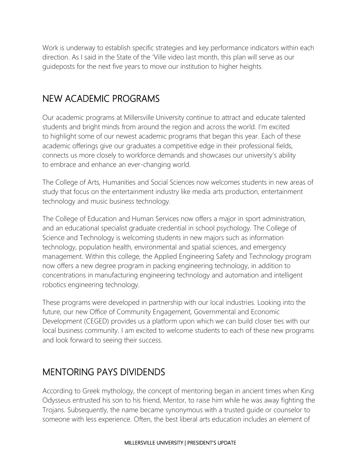Work is underway to establish specific strategies and key performance indicators within each direction. As I said in the State of the 'Ville video last month, this plan will serve as our guideposts for the next five years to move our institution to higher heights.

## NEW ACADEMIC PROGRAMS

Our academic programs at Millersville University continue to attract and educate talented students and bright minds from around the region and across the world. I'm excited to highlight some of our newest academic programs that began this year. Each of these academic offerings give our graduates a competitive edge in their professional fields, connects us more closely to workforce demands and showcases our university's ability to embrace and enhance an ever-changing world.

The College of Arts, Humanities and Social Sciences now welcomes students in new areas of study that focus on the entertainment industry like media arts production, entertainment technology and music business technology.

The College of Education and Human Services now offers a major in sport administration, and an educational specialist graduate credential in school psychology. The College of Science and Technology is welcoming students in new majors such as information technology, population health, environmental and spatial sciences, and emergency management. Within this college, the Applied Engineering Safety and Technology program now offers a new degree program in packing engineering technology, in addition to concentrations in manufacturing engineering technology and automation and intelligent robotics engineering technology.

These programs were developed in partnership with our local industries. Looking into the future, our new Office of Community Engagement, Governmental and Economic Development (CEGED) provides us a platform upon which we can build closer ties with our local business community. I am excited to welcome students to each of these new programs and look forward to seeing their success.

# MENTORING PAYS DIVIDENDS

According to Greek mythology, the concept of mentoring began in ancient times when King Odysseus entrusted his son to his friend, Mentor, to raise him while he was away fighting the Trojans. Subsequently, the name became synonymous with a trusted guide or counselor to someone with less experience. Often, the best liberal arts education includes an element of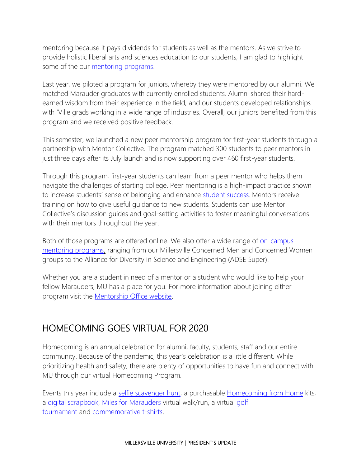mentoring because it pays dividends for students as well as the mentors. As we strive to provide holistic liberal arts and sciences education to our students, I am glad to highlight some of the our [mentoring programs.](https://www.millersville.edu/mentorship/)

Last year, we piloted a program for juniors, whereby they were mentored by our alumni. We matched Marauder graduates with currently enrolled students. Alumni shared their hardearned wisdom from their experience in the field, and our students developed relationships with 'Ville grads working in a wide range of industries. Overall, our juniors benefited from this program and we received positive feedback.

This semester, we launched a new peer mentorship program for first-year students through a partnership with Mentor Collective. The program matched 300 students to peer mentors in just three days after its July launch and is now supporting over 460 first-year students.

Through this program, first-year students can learn from a peer mentor who helps them navigate the challenges of starting college. Peer mentoring is a high-impact practice shown to increase students' sense of belonging and enhance [student success.](https://www.mentorcollective.org/analysis-mc-retention) Mentors receive training on how to give useful guidance to new students. Students can use Mentor Collective's discussion guides and goal-setting activities to foster meaningful conversations with their mentors throughout the year.

Both of those programs are offered online. We also offer a wide range of <u>on-campus</u> [mentoring programs,](https://www.millersville.edu/mentorship/find-mentoring-opportunities/partners.php) ranging from our Millersville Concerned Men and Concerned Women groups to the Alliance for Diversity in Science and Engineering (ADSE Super).

Whether you are a student in need of a mentor or a student who would like to help your fellow Marauders, MU has a place for you. For more information about joining either program visit the [Mentorship Office website.](http://www.millersville.edu/mentorship)

### HOMECOMING GOES VIRTUAL FOR 2020

Homecoming is an annual celebration for alumni, faculty, students, staff and our entire community. Because of the pandemic, this year's celebration is a little different. While prioritizing health and safety, there are plenty of opportunities to have fun and connect with MU through our virtual Homecoming Program.

Events this year include a [selfie scavenger hunt,](https://www.millersville.edu/alumni/files/selfie_scavengerhunt_map.pdf) a purchasable [Homecoming from Home](https://secure.qgiv.com/event/hfh2k/store/) kits, a [digital scrapbook,](https://www.millersville.edu/alumni/class-reunions/digital-scrapbook.php) [Miles for Marauders](https://www.millersville.edu/alumni/miles-for-marauders/index.php) virtual walk/run, a virtual [golf](https://www.millersville.edu/alumni/events-reunions/virtual-golf-tournament.php)  [tournament](https://www.millersville.edu/alumni/events-reunions/virtual-golf-tournament.php) and [commemorative t-shirts.](https://www.mville.store/search/homecoming/)